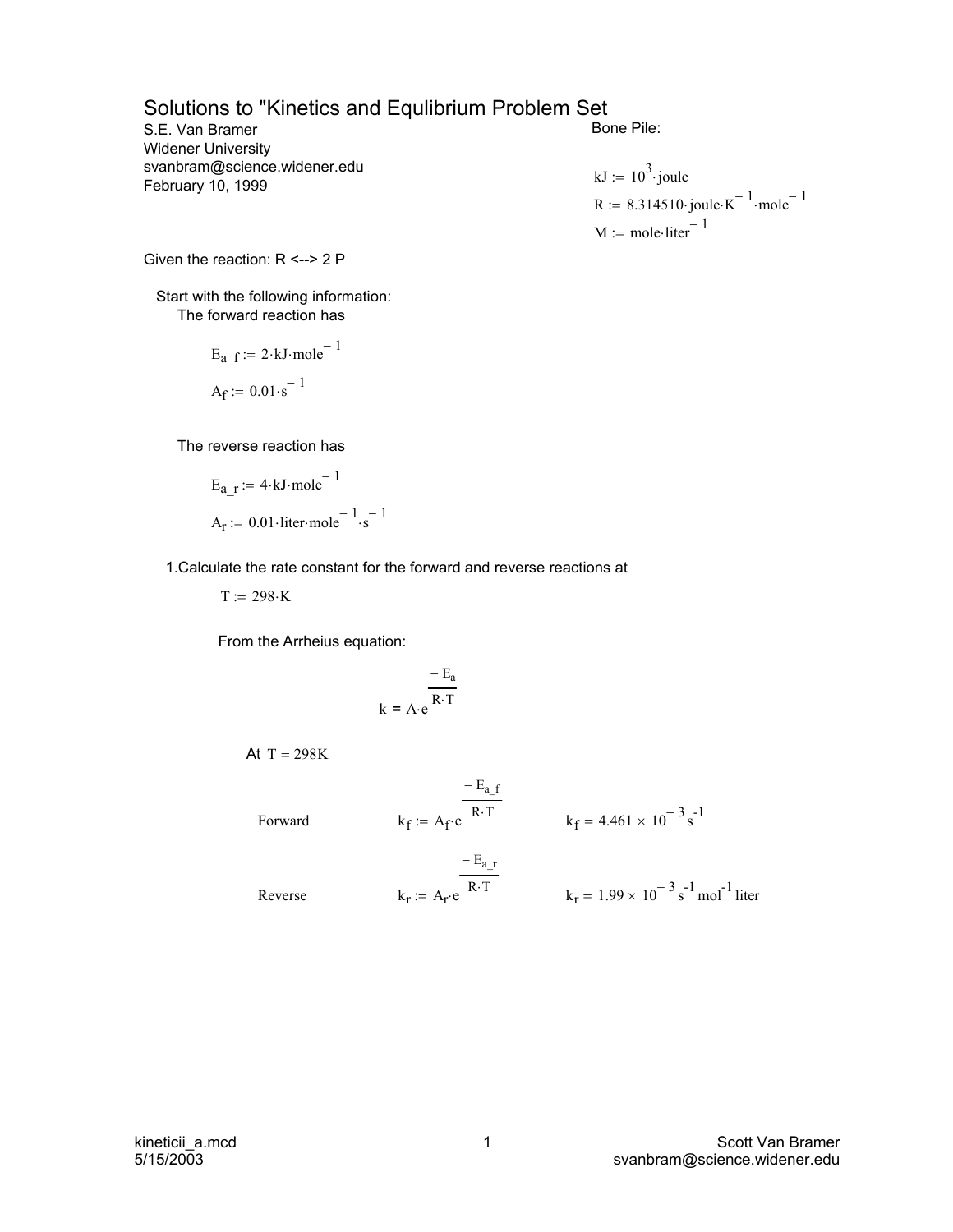## Solutions to "Kinetics and Equlibrium Problem Set

S.E. Van Bramer Widener University svanbram@science.widener.edu February 10, 1999

Bone Pile:

kJ := 
$$
10^3
$$
 joule  
R := 8.314510 joule·K<sup>-1</sup>·mole<sup>-1</sup>  
M := mole·liter<sup>-1</sup>

Given the reaction: R <--> 2 P

 Start with the following information: The forward reaction has

> $A_f := 0.01 \cdot s^{-1}$  $E_{a-f} := 2 \cdot kJ \cdot mole^{-1}$

The reverse reaction has

$$
E_{a_r} := 4 \cdot kJ \cdot mole^{-1}
$$
  

$$
A_r := 0.01 \cdot liter \cdot mole^{-1} \cdot s^{-1}
$$

1.Calculate the rate constant for the forward and reverse reactions at

 $T := 298 \cdot K$ 

From the Arrheius equation:

$$
k = A \cdot e^{\frac{-E_a}{R \cdot T}}
$$

At 
$$
T = 298K
$$

Forward  $k_f := A_f \cdot e^{-R \cdot T}$ 

 $k_f := A_f e^{-R \cdot T}$   $k_f = 4.461 \times 10^{-3} s^{-1}$ 

Reverse  $k_r := A_r \cdot e^{-R \cdot T}$ 

$$
k_r
$$
 := A<sub>r</sub>·e <sup>R-T</sup>  $k_r$  = 1.99 × 10<sup>-3</sup> s<sup>-1</sup> mol<sup>-1</sup> liter

kineticii\_a.mcd 5/15/2003

 $- E_{a-r}$ 

 $- E_{a-f}$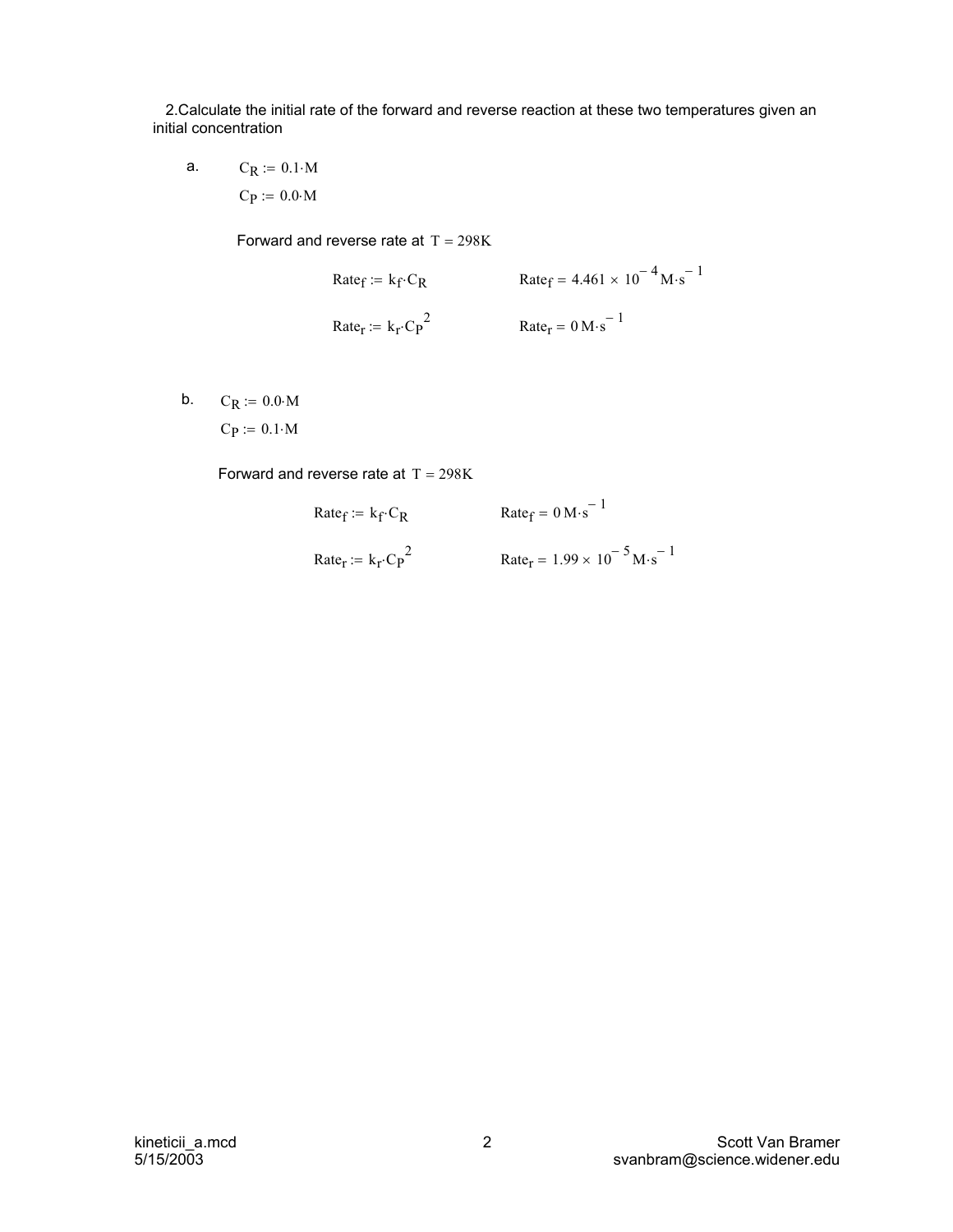2.Calculate the initial rate of the forward and reverse reaction at these two temperatures given an initial concentration

 $C_P := 0.0 \cdot M$ a.  $C_R := 0.1 \cdot M$ 

Forward and reverse rate at  $T = 298K$ 

Rate<sub>f</sub> := 
$$
k_f \cdot C_R
$$
  
\nRate<sub>f</sub> :=  $k_f \cdot C_P^2$   
\nRate<sub>r</sub> = 0 M·s<sup>-1</sup>

b.  $C_R := 0.0 \cdot M$ 

 $C_P := 0.1 \cdot M$ 

Forward and reverse rate at  $T = 298K$ 

 $Rate_f := k_f \cdot C_R$  Rate  $f = 0 M \cdot s^{-1}$ 

Rate<sub>r</sub> := 
$$
k_r C_p^2
$$
  
Rate<sub>r</sub> = 1.99 × 10<sup>-5</sup> M·s<sup>-1</sup>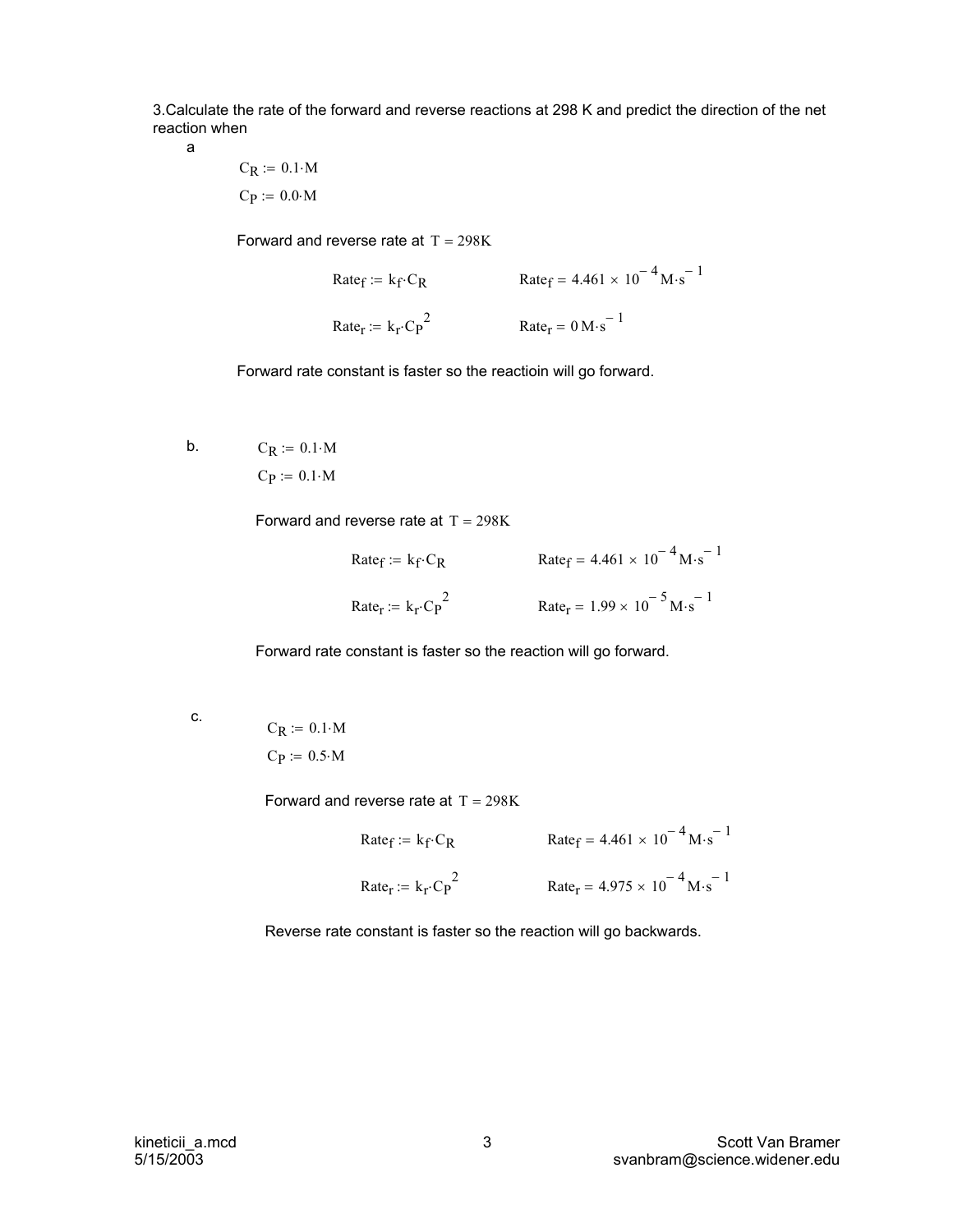3.Calculate the rate of the forward and reverse reactions at 298 K and predict the direction of the net reaction when

a

 $C_P := 0.0 \cdot M$  $C_R := 0.1 \cdot M$ 

Forward and reverse rate at  $T = 298K$ 

Rate<sub>f</sub> := 
$$
k_f \cdot C_R
$$
  
\nRate<sub>r</sub> = 4.461 × 10<sup>-4</sup> M·s<sup>-1</sup>  
\nRate<sub>r</sub> :=  $k_f \cdot C_P^2$   
\nRate<sub>r</sub> = 0 M·s<sup>-1</sup>

Forward rate constant is faster so the reactioin will go forward.

 $C_P := 0.1 \cdot M$ b.  $C_R := 0.1 \cdot M$ 

Forward and reverse rate at  $T = 298K$ 

Rate<sub>f</sub> := 
$$
k_f \cdot C_R
$$
  
\nRate<sub>f</sub> = 4.461 × 10<sup>-4</sup> M·s<sup>-1</sup>  
\nRate<sub>r</sub> :=  $k_r \cdot C_P^2$   
\nRate<sub>r</sub> = 1.99 × 10<sup>-5</sup> M·s<sup>-1</sup>

Forward rate constant is faster so the reaction will go forward.

| ×<br>۰.                   |  |
|---------------------------|--|
| r.<br>×<br>۰.<br>v.<br>۰. |  |
|                           |  |

c.  
\n
$$
C_R := 0.1 \cdot M
$$
\n
$$
C_P := 0.5 \cdot M
$$

Forward and reverse rate at  $T = 298K$ 

Rate<sub>f</sub> := 
$$
k_f \cdot C_R
$$
  
\nRate<sub>r</sub> =  $k_f \cdot C_P^2$   
\nRate<sub>r</sub> =  $k_f \cdot C_P^2$   
\nRate<sub>r</sub> = 4.975 × 10<sup>-4</sup> M·s<sup>-1</sup>

Reverse rate constant is faster so the reaction will go backwards.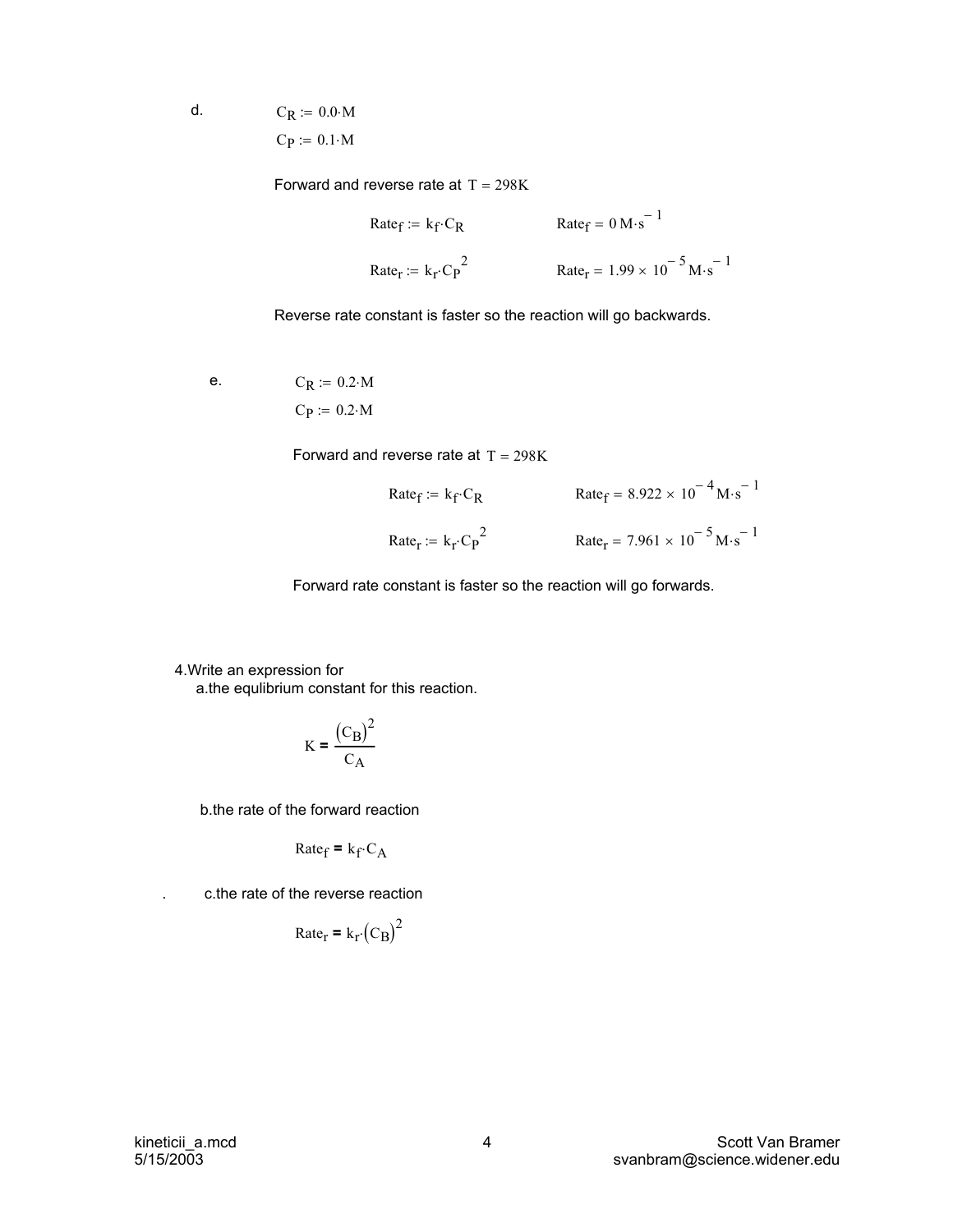$C_P := 0.1 \cdot M$ d.  $C_R := 0.0 \cdot M$ 

Forward and reverse rate at  $T = 298K$ 

Rate<sub>f</sub> := 
$$
k_f \cdot C_R
$$
  
\nRate<sub>r</sub> :=  $k_f \cdot C_P^2$   
\nRate<sub>r</sub> = 1.99 × 10<sup>-5</sup> M·s<sup>-1</sup>

Reverse rate constant is faster so the reaction will go backwards.

 $C_P := 0.2 \cdot M$ e.  $C_R := 0.2 \cdot M$ 

Forward and reverse rate at  $T = 298K$ 

Rate<sub>f</sub> := 
$$
k_f \cdot C_R
$$
  
\nRate<sub>f</sub> = 8.922 × 10<sup>-4</sup> M·s<sup>-1</sup>  
\nRate<sub>r</sub> :=  $k_f \cdot C_P^2$   
\nRate<sub>r</sub> = 7.961 × 10<sup>-5</sup> M·s<sup>-1</sup>

Forward rate constant is faster so the reaction will go forwards.

 4.Write an expression for a.the equlibrium constant for this reaction.

$$
K = \frac{(C_{\rm B})^2}{C_{\rm A}}
$$

b.the rate of the forward reaction

$$
\text{Rate}_{\text{f}} = \mathbf{k}_{\text{f}} \cdot \mathbf{C}_{\text{A}}
$$

. c.the rate of the reverse reaction

$$
Rate_r = k_r (C_B)^2
$$